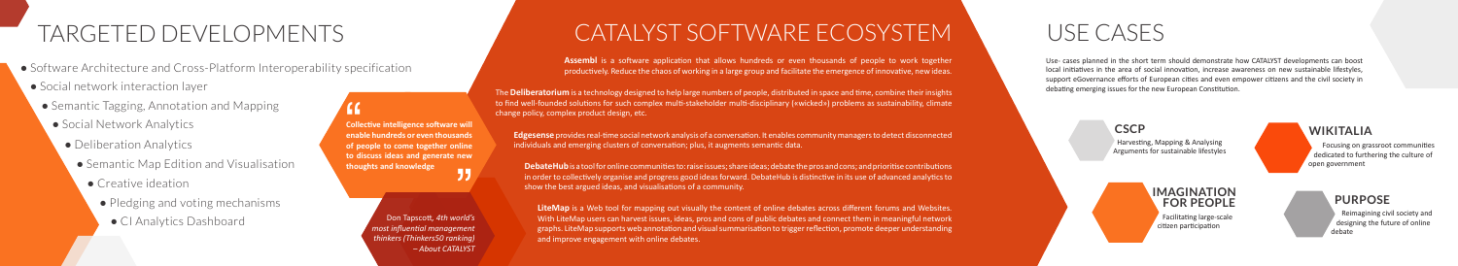# TARGETED DEVELOPMENTS CATALYST SOFTWARE ECOSYSTEM USE CASES

**Collective intelligence software will enable hundreds or even thousands of people to come together online to discuss ideas and generate new thoughts and knowledge** C<br>Colle<br>enab<br>of p<br>to d "

**Assembl** is a software application that allows hundreds or even thousands of people to work together productively. Reduce the chaos of working in a large group and facilitate the emergence of innovative, new ideas.

The **Deliberatorium** is a technology designed to help large numbers of people, distributed in space and time, combine their insights to find well-founded solutions for such complex multi-stakeholder multi-disciplinary («wicked») problems as sustainability, climate change policy, complex product design, etc.

**LiteMap** is a Web tool for mapping out visually the content of online debates across different forums and Websites. With LiteMap users can harvest issues, ideas, pros and cons of public debates and connect them in meaningful network graphs. LiteMap supports web annotation and visual summarisation to trigger reflection, promote deeper understanding and improve engagement with online debates.

Harvesting, Mapping & Analysing Arguments for sustainable lifestyles Focusing on grassroot communities<br>Arguments for sustainable lifestyles

**DebateHub** is a tool for online communities to: raise issues; share ideas; debate the pros and cons; and prioritise contributions in order to collectively organise and progress good ideas forward. DebateHub is distinctive in its use of advanced analytics to show the best argued ideas, and visualisations of a community.

**Edgesense** provides real-time social network analysis of a conversation. It enables community managers to detect disconnected individuals and emerging clusters of conversation; plus, it augments semantic data.

Don Tapscott*, 4th world's most influential management thinkers (Thinkers50 ranking) – About CATALYST*

Use- cases planned in the short term should demonstrate how CATALYST developments can boost local initiatives in the area of social innovation, increase awareness on new sustainable lifestyles, support eGovernance efforts of European cities and even empower citizens and the civil society in debating emerging issues for the new European Constitution.

> dedicated to furthering the culture of open government

 Facilitating large-scale citizen participation

 Reimagining civil society and designing the future of online debate





- **•** Software Architecture and Cross-Platform Interoperability specification
- **•** Social network interaction layer
- **•** Semantic Tagging, Annotation and Mapping
- **•** Social Network Analytics
- **•** Deliberation Analytics
- **•** Semantic Map Edition and Visualisation
- **•** Creative ideation
- **•** Pledging and voting mechanisms
- **•** CI Analytics Dashboard

**WIKITALIA**